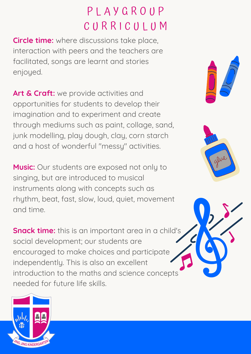# P L A Y G R O U P CURRICULUM

**Circle time:** where discussions take place, interaction with peers and the teachers are facilitated, songs are learnt and stories enjoyed.

**Art & Craft:** we provide activities and opportunities for students to develop their imagination and to experiment and create through mediums such as paint, collage, sand, junk modelling, play dough, clay, corn starch and a host of wonderful "messy" activities.

**Music:** Our students are exposed not only to singing, but are introduced to musical instruments along with concepts such as rhythm, beat, fast, slow, loud, quiet, movement and time.

**Snack time:** this is an important area in a child's social development; our students are encouraged to make choices and participate independently. This is also an excellent introduction to the maths and science concepts needed for future life skills.





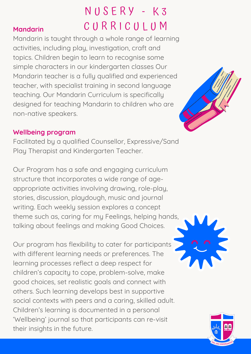### **Mandarin**

N U S E R Y - K 3 CURRICULUM

Mandarin is taught through a whole range of learning activities, including play, investigation, craft and topics. Children begin to learn to recognise some simple characters in our kindergarten classes Our Mandarin teacher is a fully qualified and experienced teacher, with specialist training in second language teaching. Our Mandarin Curriculum is specifically designed for teaching Mandarin to children who are non-native speakers.

#### **Wellbeing program**

Facilitated by a qualified Counsellor, Expressive/Sand Play Therapist and Kindergarten Teacher.

Our Program has a safe and engaging curriculum structure that incorporates a wide range of ageappropriate activities involving drawing, role-play, stories, discussion, playdough, music and journal writing. Each weekly session explores a concept theme such as, caring for my Feelings, helping hands, talking about feelings and making Good Choices.

Our program has flexibility to cater for participants with different learning needs or preferences. The learning processes reflect a deep respect for children's capacity to cope, problem-solve, make good choices, set realistic goals and connect with others. Such learning develops best in supportive social contexts with peers and a caring, skilled adult. Children's learning is documented in a personal 'Wellbeing' journal so that participants can re-visit their insights in the future.





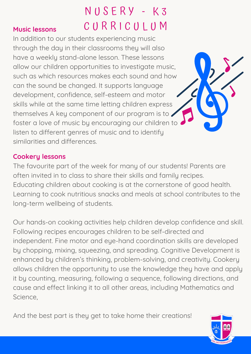### **Music lessons**

# N U S E R Y - K 3 CURRICULUM

In addition to our students experiencing music through the day in their classrooms they will also have a weekly stand-alone lesson. These lessons allow our children opportunities to investigate music, such as which resources makes each sound and how can the sound be changed. It supports language development, confidence, self-esteem and motor skills while at the same time letting children express themselves A key component of our program is to foster a love of music by encouraging our children to listen to different genres of music and to identify similarities and differences.

### **Cookery lessons**

The favourite part of the week for many of our students! Parents are often invited in to class to share their skills and family recipes. Educating children about cooking is at the cornerstone of good health. Learning to cook nutritious snacks and meals at school contributes to the long-term wellbeing of students.

Our hands-on cooking activities help children develop confidence and skill. Following recipes encourages children to be self-directed and independent. Fine motor and eye-hand coordination skills are developed by chopping, mixing, squeezing, and spreading. Cognitive Development is enhanced by children's thinking, problem-solving, and creativity. Cookery allows children the opportunity to use the knowledge they have and apply it by counting, measuring, following a sequence, following directions, and cause and effect linking it to all other areas, including Mathematics and Science,

And the best part is they get to take home their creations!